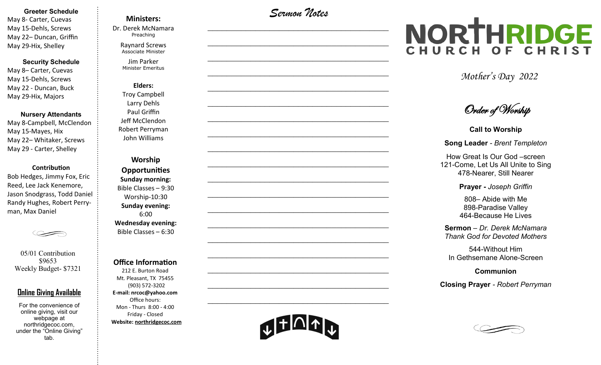#### **Greeter Schedule**

May 8- Carter, Cuevas May 15-Dehls, Screws May 22– Duncan, Griffin May 29-Hix, Shelley

**Security Schedule**

May 8– Carter, Cuevas May 15-Dehls, Screws May 22 - Duncan, Buck May 29-Hix, Majors

#### **Nursery Attendants**

May 8-Campbell, McClendon May 15-Mayes, Hix May 22– Whitaker, Screws May 29 - Carter, Shelley

#### **Contribution**

Bob Hedges, Jimmy Fox, Eric Reed, Lee Jack Kenemore, Jason Snodgrass, Todd Daniel Randy Hughes, Robert Perryman, Max Daniel

05/01 Contribution \$9653 Weekly Budget- \$7321

### **Online Giving Available**

For the convenience of online giving, visit our webpage at northridgecoc.com, under the "Online Giving" tab.

## **Ministers:**

Dr. Derek McNamara Preaching 

Raynard Screws Associate Minister

Jim Parker Minister Emeritus

**Elders:** Troy Campbell Larry Dehls Paul Griffin Jeff McClendon Robert Perryman John Williams

**Worship Opportunities Sunday morning:**  Bible Classes – 9:30 Worship-10:30 **Sunday evening:**  6:00 **Wednesday evening:** Bible Classes – 6:30

#### **Office Information**

212 E. Burton Road Mt. Pleasant, TX 75455 (903) 572-3202 **E-mail: nrcoc@yahoo.com** Office hours: Mon - Thurs 8:00 - 4:00 Friday - Closed **Website: northridgecoc.com**

*Sermon Notes*

 $\mathcal{L}_\text{max}$ 

 $\mathcal{L}_\text{max}$  , and the set of the set of the set of the set of the set of the set of the set of the set of the set of the set of the set of the set of the set of the set of the set of the set of the set of the set of the

 $\mathcal{L}_\text{max}$  , and the set of the set of the set of the set of the set of the set of the set of the set of the set of the set of the set of the set of the set of the set of the set of the set of the set of the set of the

 $\mathcal{L}_\text{max}$  , and the set of the set of the set of the set of the set of the set of the set of the set of the set of the set of the set of the set of the set of the set of the set of the set of the set of the set of the

 $\mathcal{L}_\text{max}$ 

 $\mathcal{L}_\text{max}$ 

 $\mathcal{L}_\text{max}$  , and the set of the set of the set of the set of the set of the set of the set of the set of the set of the set of the set of the set of the set of the set of the set of the set of the set of the set of the

 $\mathcal{L}_\text{max}$  , and the set of the set of the set of the set of the set of the set of the set of the set of the set of the set of the set of the set of the set of the set of the set of the set of the set of the set of the

 $\mathcal{L}_\text{max}$  , and the set of the set of the set of the set of the set of the set of the set of the set of the set of the set of the set of the set of the set of the set of the set of the set of the set of the set of the

 $\mathcal{L}_\text{max}$ 

 $\mathcal{L}_\text{max}$  , and the set of the set of the set of the set of the set of the set of the set of the set of the set of the set of the set of the set of the set of the set of the set of the set of the set of the set of the

 $\mathcal{L}_\text{max}$  , and the set of the set of the set of the set of the set of the set of the set of the set of the set of the set of the set of the set of the set of the set of the set of the set of the set of the set of the

 $\mathcal{L}_\text{max}$  , and the set of the set of the set of the set of the set of the set of the set of the set of the set of the set of the set of the set of the set of the set of the set of the set of the set of the set of the

 $\mathcal{L}_\text{max}$  , and the set of the set of the set of the set of the set of the set of the set of the set of the set of the set of the set of the set of the set of the set of the set of the set of the set of the set of the

 $\mathcal{L}_\text{max}$ 

 $\mathcal{L}_\text{max}$  , and the set of the set of the set of the set of the set of the set of the set of the set of the set of the set of the set of the set of the set of the set of the set of the set of the set of the set of the

 $\mathcal{L}_\text{max}$  , and the set of the set of the set of the set of the set of the set of the set of the set of the set of the set of the set of the set of the set of the set of the set of the set of the set of the set of the

 $\mathcal{L}_\text{max}$  , and the set of the set of the set of the set of the set of the set of the set of the set of the set of the set of the set of the set of the set of the set of the set of the set of the set of the set of the

 $\mathcal{L}_\text{max}$  , and the set of the set of the set of the set of the set of the set of the set of the set of the set of the set of the set of the set of the set of the set of the set of the set of the set of the set of the

# NORTHRIDGE

*Mother's Day 2022*

Order of Worship

**Call to Worship**

**Song Leader** *- Brent Templeton*

How Great Is Our God –screen 121-Come, Let Us All Unite to Sing 478-Nearer, Still Nearer

**Prayer -** *Joseph Griffin*

808– Abide with Me 898-Paradise Valley 464-Because He Lives

**Sermon** – *Dr. Derek McNamara Thank God for Devoted Mothers*

544-Without Him In Gethsemane Alone-Screen

**Communion** 

**Closing Prayer** *- Robert Perryman*